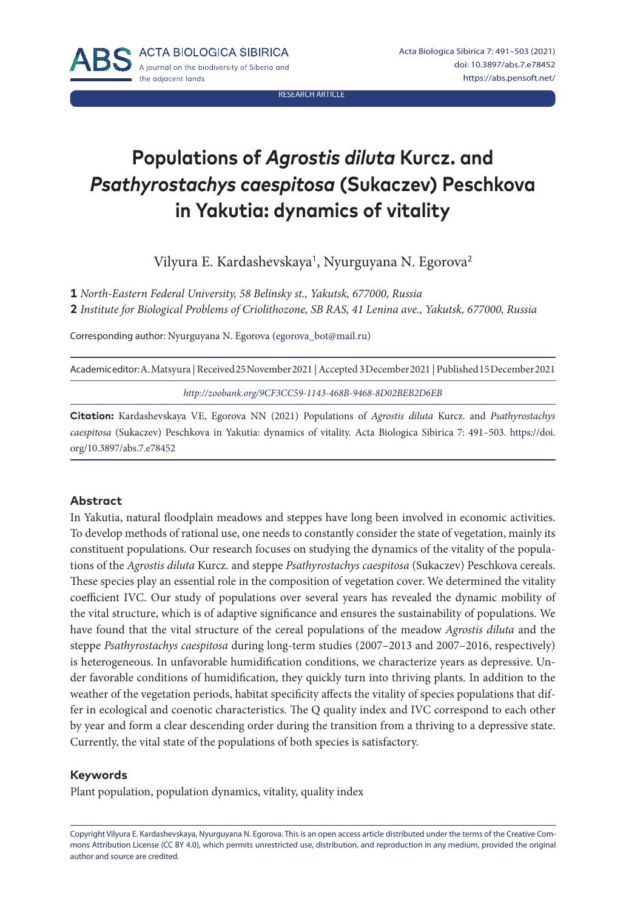RESEARCH ARTICLE

# **Populations of** *Agrostis diluta* **Kurcz. and**  *Psathyrostachys caespitosa* **(Sukaczev) Peschkova in Yakutia: dynamics of vitality**

Vilyura E. Kardashevskaya<sup>1</sup>, Nyurguyana N. Egorova<sup>2</sup>

**1** *North-Eastern Federal University, 58 Belinsky st., Yakutsk, 677000, Russia*

**2** *Institute for Biological Problems of Criolithozone, SB RAS, 41 Lenina ave., Yakutsk, 677000, Russia*

Corresponding author: Nyurguyana N. Egorova [\(egorova\\_bot@mail.ru\)](egorova_bot@mail.ru)

Academic editor: A. Matsyura | Received 25 November 2021 | Accepted 3 December 2021 | Published 15 December 2021 *<http://zoobank.org/9CF3CC59-1143-468B-9468-8D02BEB2D6EB>*

**Citation:** Kardashevskaya VE, Egorova NN (2021) Populations of *Agrostis diluta* Kurcz. and *Psathyrostachys caespitosa* (Sukaczev) Peschkova in Yakutia: dynamics of vitality. Acta Biologica Sibirica 7: 491–503. [https://doi.](https://doi.org/10.3897/abs.7.e78452) [org/10.3897/abs.7.e78452](https://doi.org/10.3897/abs.7.e78452)

#### **Abstract**

In Yakutia, natural floodplain meadows and steppes have long been involved in economic activities. To develop methods of rational use, one needs to constantly consider the state of vegetation, mainly its constituent populations. Our research focuses on studying the dynamics of the vitality of the populations of the *Agrostis diluta* Kurcz. and steppe *Psathyrostachys caespitosa* (Sukaczev) Peschkova cereals. These species play an essential role in the composition of vegetation cover. We determined the vitality coefficient IVC. Our study of populations over several years has revealed the dynamic mobility of the vital structure, which is of adaptive significance and ensures the sustainability of populations. We have found that the vital structure of the cereal populations of the meadow *Agrostis diluta* and the steppe *Psathyrostachys caespitosa* during long-term studies (2007–2013 and 2007–2016, respectively) is heterogeneous. In unfavorable humidification conditions, we characterize years as depressive. Under favorable conditions of humidification, they quickly turn into thriving plants. In addition to the weather of the vegetation periods, habitat specificity affects the vitality of species populations that differ in ecological and coenotic characteristics. The Q quality index and IVC correspond to each other by year and form a clear descending order during the transition from a thriving to a depressive state. Currently, the vital state of the populations of both species is satisfactory.

#### **Keywords**

Plant population, population dynamics, vitality, quality index

Copyright Vilyura E. Kardashevskaya, Nyurguyana N. Egorova. This is an open access article distributed under the terms of the [Creative Com](http://creativecommons.org/licenses/by/4.0/)[mons Attribution License \(CC BY 4.0\),](http://creativecommons.org/licenses/by/4.0/) which permits unrestricted use, distribution, and reproduction in any medium, provided the original author and source are credited.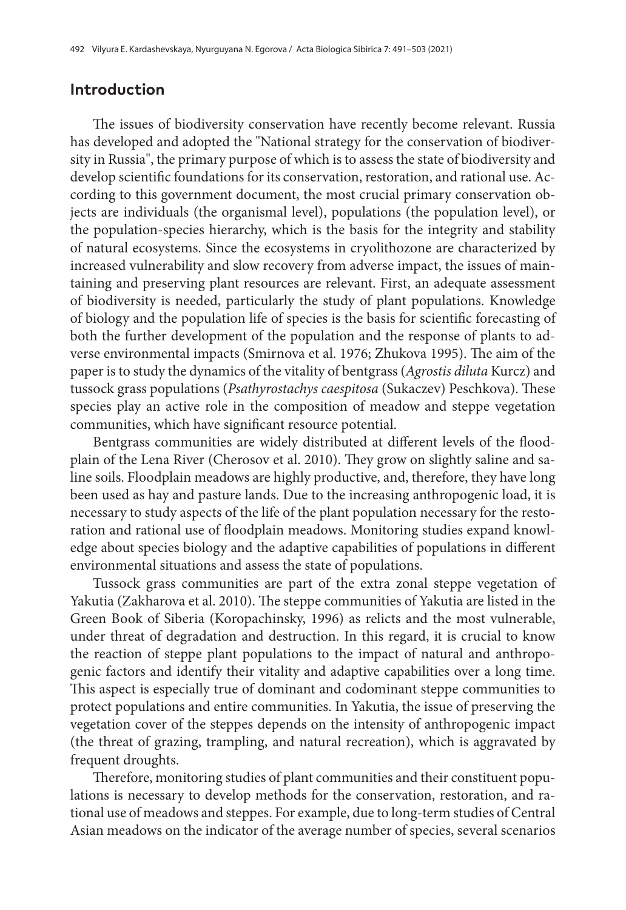#### **Introduction**

The issues of biodiversity conservation have recently become relevant. Russia has developed and adopted the "National strategy for the conservation of biodiversity in Russia", the primary purpose of which is to assess the state of biodiversity and develop scientific foundations for its conservation, restoration, and rational use. According to this government document, the most crucial primary conservation objects are individuals (the organismal level), populations (the population level), or the population-species hierarchy, which is the basis for the integrity and stability of natural ecosystems. Since the ecosystems in cryolithozone are characterized by increased vulnerability and slow recovery from adverse impact, the issues of maintaining and preserving plant resources are relevant. First, an adequate assessment of biodiversity is needed, particularly the study of plant populations. Knowledge of biology and the population life of species is the basis for scientific forecasting of both the further development of the population and the response of plants to adverse environmental impacts (Smirnova et al. 1976; Zhukova 1995). The aim of the paper is to study the dynamics of the vitality of bentgrass (*Agrostis diluta* Kurcz) and tussock grass populations (*Psathyrostachys caespitosa* (Sukaczev) Peschkova). These species play an active role in the composition of meadow and steppe vegetation communities, which have significant resource potential.

Bentgrass communities are widely distributed at different levels of the floodplain of the Lena River (Cherosov et al. 2010). They grow on slightly saline and saline soils. Floodplain meadows are highly productive, and, therefore, they have long been used as hay and pasture lands. Due to the increasing anthropogenic load, it is necessary to study aspects of the life of the plant population necessary for the restoration and rational use of floodplain meadows. Monitoring studies expand knowledge about species biology and the adaptive capabilities of populations in different environmental situations and assess the state of populations.

Tussock grass communities are part of the extra zonal steppe vegetation of Yakutia (Zakharova et al. 2010). The steppe communities of Yakutia are listed in the Green Book of Siberia (Koropachinsky, 1996) as relicts and the most vulnerable, under threat of degradation and destruction. In this regard, it is crucial to know the reaction of steppe plant populations to the impact of natural and anthropogenic factors and identify their vitality and adaptive capabilities over a long time. This aspect is especially true of dominant and codominant steppe communities to protect populations and entire communities. In Yakutia, the issue of preserving the vegetation cover of the steppes depends on the intensity of anthropogenic impact (the threat of grazing, trampling, and natural recreation), which is aggravated by frequent droughts.

Therefore, monitoring studies of plant communities and their constituent populations is necessary to develop methods for the conservation, restoration, and rational use of meadows and steppes. For example, due to long-term studies of Central Asian meadows on the indicator of the average number of species, several scenarios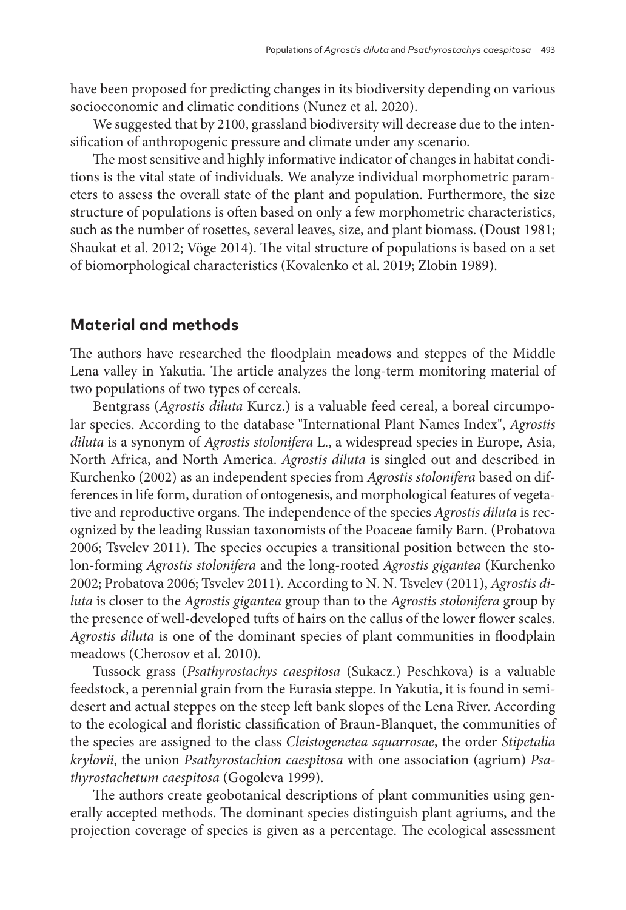have been proposed for predicting changes in its biodiversity depending on various socioeconomic and climatic conditions (Nunez et al. 2020).

We suggested that by 2100, grassland biodiversity will decrease due to the intensification of anthropogenic pressure and climate under any scenario.

The most sensitive and highly informative indicator of changes in habitat conditions is the vital state of individuals. We analyze individual morphometric parameters to assess the overall state of the plant and population. Furthermore, the size structure of populations is often based on only a few morphometric characteristics, such as the number of rosettes, several leaves, size, and plant biomass. (Doust 1981; Shaukat et al. 2012; Vöge 2014). The vital structure of populations is based on a set of biomorphological characteristics (Kovalenko et al. 2019; Zlobin 1989).

## **Material and methods**

The authors have researched the floodplain meadows and steppes of the Middle Lena valley in Yakutia. The article analyzes the long-term monitoring material of two populations of two types of cereals.

Bentgrass (*Agrostis diluta* Kurcz.) is a valuable feed cereal, a boreal circumpolar species. According to the database "International Plant Names Index", *Agrostis diluta* is a synonym of *Agrostis stolonifera* L., a widespread species in Europe, Asia, North Africa, and North America. *Agrostis diluta* is singled out and described in Kurchenko (2002) as an independent species from *Agrostis stolonifera* based on differences in life form, duration of ontogenesis, and morphological features of vegetative and reproductive organs. The independence of the species *Agrostis diluta* is recognized by the leading Russian taxonomists of the Poaceae family Barn. (Probatova 2006; Tsvelev 2011). The species occupies a transitional position between the stolon-forming *Agrostis stolonifera* and the long-rooted *Agrostis gigantea* (Kurchenko 2002; Probatova 2006; Tsvelev 2011). According to N. N. Tsvelev (2011), *Agrostis diluta* is closer to the *Agrostis gigantea* group than to the *Agrostis stolonifera* group by the presence of well-developed tufts of hairs on the callus of the lower flower scales. *Agrostis diluta* is one of the dominant species of plant communities in floodplain meadows (Cherosov et al. 2010).

Tussock grass (*Psathyrostachys caespitosa* (Sukacz.) Peschkova) is a valuable feedstock, a perennial grain from the Eurasia steppe. In Yakutia, it is found in semidesert and actual steppes on the steep left bank slopes of the Lena River. According to the ecological and floristic classification of Braun-Blanquet, the communities of the species are assigned to the class *Cleistogenetea squarrosae*, the order *Stipetalia krylovii*, the union *Psathyrostachion caespitosa* with one association (agrium) *Psathyrostachetum caespitosa* (Gogoleva 1999).

The authors create geobotanical descriptions of plant communities using generally accepted methods. The dominant species distinguish plant agriums, and the projection coverage of species is given as a percentage. The ecological assessment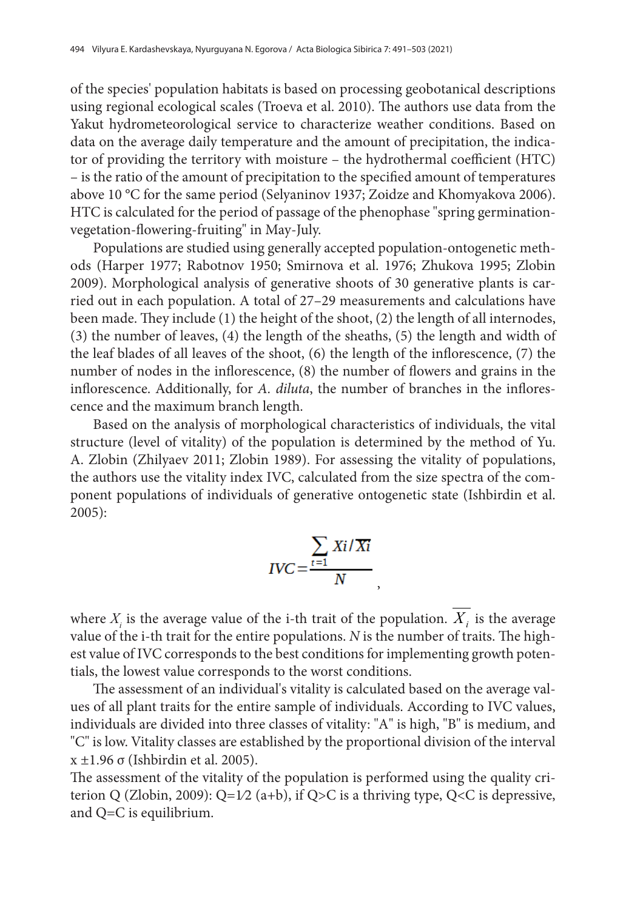of the species' population habitats is based on processing geobotanical descriptions using regional ecological scales (Troeva et al. 2010). The authors use data from the Yakut hydrometeorological service to characterize weather conditions. Based on data on the average daily temperature and the amount of precipitation, the indicator of providing the territory with moisture – the hydrothermal coefficient (HTC) – is the ratio of the amount of precipitation to the specified amount of temperatures above 10 °C for the same period (Selyaninov 1937; Zoidze and Khomyakova 2006). HTC is calculated for the period of passage of the phenophase "spring germinationvegetation-flowering-fruiting" in May-July.

Populations are studied using generally accepted population-ontogenetic methods (Harper 1977; Rabotnov 1950; Smirnova et al. 1976; Zhukova 1995; Zlobin 2009). Morphological analysis of generative shoots of 30 generative plants is carried out in each population. A total of 27–29 measurements and calculations have been made. They include (1) the height of the shoot, (2) the length of all internodes, (3) the number of leaves, (4) the length of the sheaths, (5) the length and width of the leaf blades of all leaves of the shoot, (6) the length of the inflorescence, (7) the number of nodes in the inflorescence, (8) the number of flowers and grains in the inflorescence. Additionally, for *A. diluta*, the number of branches in the inflorescence and the maximum branch length.

Based on the analysis of morphological characteristics of individuals, the vital structure (level of vitality) of the population is determined by the method of Yu. A. Zlobin (Zhilyaev 2011; Zlobin 1989). For assessing the vitality of populations, the authors use the vitality index IVC, calculated from the size spectra of the component populations of individuals of generative ontogenetic state (Ishbirdin et al. 2005):

$$
IVC = \frac{\sum_{t=1} X i / X i}{N},
$$

where  $X_i$  is the average value of the i-th trait of the population.  $X_i$  is the average value of the i-th trait for the entire populations. *N* is the number of traits. The highest value of IVC corresponds to the best conditions for implementing growth potentials, the lowest value corresponds to the worst conditions.

The assessment of an individual's vitality is calculated based on the average values of all plant traits for the entire sample of individuals. According to IVC values, individuals are divided into three classes of vitality: "A" is high, "B" is medium, and "C" is low. Vitality classes are established by the proportional division of the interval x ±1.96 σ (Ishbirdin et al. 2005).

The assessment of the vitality of the population is performed using the quality criterion Q (Zlobin, 2009):  $Q=1/2$  (a+b), if  $Q>C$  is a thriving type,  $Q < C$  is depressive, and Q=C is equilibrium.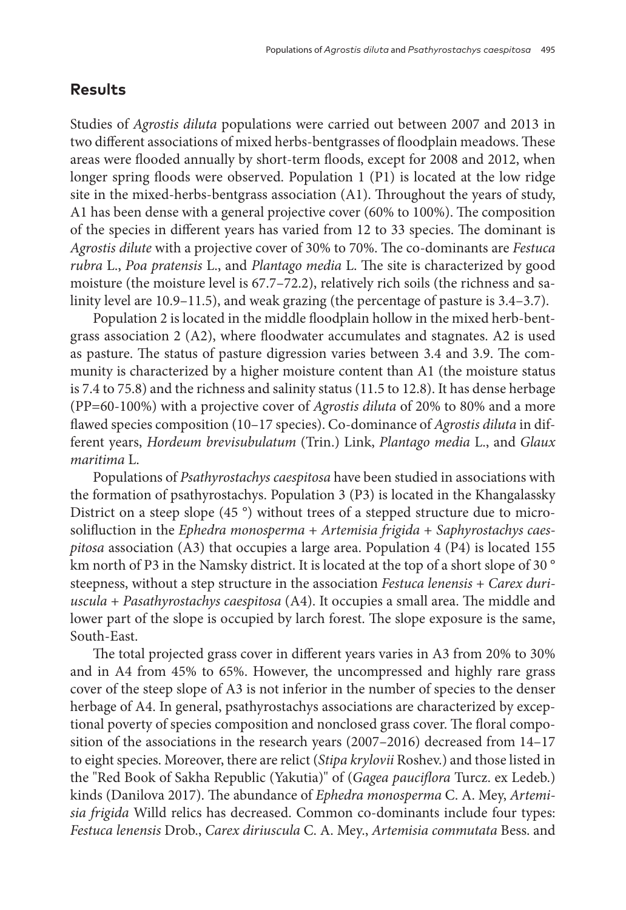# **Results**

Studies of *Agrostis diluta* populations were carried out between 2007 and 2013 in two different associations of mixed herbs-bentgrasses of floodplain meadows. These areas were flooded annually by short-term floods, except for 2008 and 2012, when longer spring floods were observed. Population 1 (P1) is located at the low ridge site in the mixed-herbs-bentgrass association (A1). Throughout the years of study, A1 has been dense with a general projective cover (60% to 100%). The composition of the species in different years has varied from 12 to 33 species. The dominant is *Agrostis dilute* with a projective cover of 30% to 70%. The co-dominants are *Festuca rubra* L., *Poa pratensis* L., and *Plantago media* L. The site is characterized by good moisture (the moisture level is 67.7–72.2), relatively rich soils (the richness and salinity level are 10.9–11.5), and weak grazing (the percentage of pasture is 3.4–3.7).

Population 2 is located in the middle floodplain hollow in the mixed herb-bentgrass association 2 (A2), where floodwater accumulates and stagnates. A2 is used as pasture. The status of pasture digression varies between 3.4 and 3.9. The community is characterized by a higher moisture content than A1 (the moisture status is 7.4 to 75.8) and the richness and salinity status (11.5 to 12.8). It has dense herbage (PP=60-100%) with a projective cover of *Agrostis diluta* of 20% to 80% and a more flawed species composition (10–17 species). Co-dominance of *Agrostis diluta* in different years, *Hordeum brevisubulatum* (Trin.) Link, *Plantago media* L., and *Glaux maritima* L.

Populations of *Psathyrostachys caespitosa* have been studied in associations with the formation of psathyrostachys. Population 3 (P3) is located in the Khangalassky District on a steep slope (45 °) without trees of a stepped structure due to microsolifluction in the *Ephedra monosperma* + *Artemisia frigida* + *Saphyrostachys caespitosa* association (A3) that occupies a large area. Population 4 (P4) is located 155 km north of P3 in the Namsky district. It is located at the top of a short slope of 30 ° steepness, without a step structure in the association *Festuca lenensis* + *Carex duriuscula* + *Pasathyrostachys caespitosa* (A4). It occupies a small area. The middle and lower part of the slope is occupied by larch forest. The slope exposure is the same, South-East.

The total projected grass cover in different years varies in A3 from 20% to 30% and in A4 from 45% to 65%. However, the uncompressed and highly rare grass cover of the steep slope of A3 is not inferior in the number of species to the denser herbage of A4. In general, psathyrostachys associations are characterized by exceptional poverty of species composition and nonclosed grass cover. The floral composition of the associations in the research years (2007–2016) decreased from 14–17 to eight species. Moreover, there are relict (*Stipa krylovii* Roshev.) and those listed in the "Red Book of Sakha Republic (Yakutia)" of (*Gagea pauciflora* Turcz. ex Ledeb.) kinds (Danilova 2017). The abundance of *Ephedra monosperma* C. A. Mey, *Artemisia frigida* Willd relics has decreased. Common co-dominants include four types: *Festuca lenensis* Drob., *Carex diriuscula* C. A. Mey., *Artemisia commutatа* Bess. and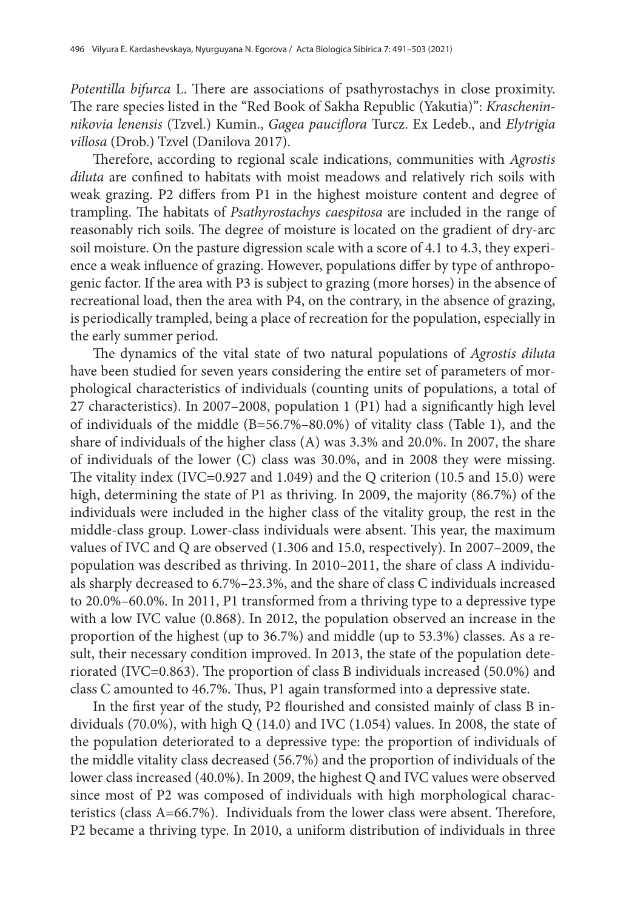*Potentilla bifurca* L. There are associations of psathyrostachys in close proximity. The rare species listed in the "Red Book of Sakha Republic (Yakutia)": *Krascheninnikovia lenensis* (Tzvel.) Kumin., *Gagea pauciflora* Turcz. Ex Ledeb., and *Elytrigia villosa* (Drob.) Tzvel (Danilova 2017).

Therefore, according to regional scale indications, communities with *Agrostis diluta* are confined to habitats with moist meadows and relatively rich soils with weak grazing. P2 differs from P1 in the highest moisture content and degree of trampling. The habitats of *Psathyrostachys caespitosa* are included in the range of reasonably rich soils. The degree of moisture is located on the gradient of dry-arc soil moisture. On the pasture digression scale with a score of 4.1 to 4.3, they experience a weak influence of grazing. However, populations differ by type of anthropogenic factor. If the area with P3 is subject to grazing (more horses) in the absence of recreational load, then the area with P4, on the contrary, in the absence of grazing, is periodically trampled, being a place of recreation for the population, especially in the early summer period.

The dynamics of the vital state of two natural populations of *Agrostis diluta* have been studied for seven years considering the entire set of parameters of morphological characteristics of individuals (counting units of populations, a total of 27 characteristics). In 2007–2008, population 1 (P1) had a significantly high level of individuals of the middle (B=56.7%–80.0%) of vitality class (Table 1), and the share of individuals of the higher class (A) was 3.3% and 20.0%. In 2007, the share of individuals of the lower (C) class was 30.0%, and in 2008 they were missing. The vitality index (IVC=0.927 and 1.049) and the Q criterion (10.5 and 15.0) were high, determining the state of P1 as thriving. In 2009, the majority (86.7%) of the individuals were included in the higher class of the vitality group, the rest in the middle-class group. Lower-class individuals were absent. This year, the maximum values of IVC and Q are observed (1.306 and 15.0, respectively). In 2007–2009, the population was described as thriving. In 2010–2011, the share of class A individuals sharply decreased to 6.7%–23.3%, and the share of class C individuals increased to 20.0%–60.0%. In 2011, P1 transformed from a thriving type to a depressive type with a low IVC value (0.868). In 2012, the population observed an increase in the proportion of the highest (up to 36.7%) and middle (up to 53.3%) classes. As a result, their necessary condition improved. In 2013, the state of the population deteriorated (IVC=0.863). The proportion of class B individuals increased (50.0%) and class C amounted to 46.7%. Thus, P1 again transformed into a depressive state.

In the first year of the study, P2 flourished and consisted mainly of class B individuals (70.0%), with high Q (14.0) and IVC (1.054) values. In 2008, the state of the population deteriorated to a depressive type: the proportion of individuals of the middle vitality class decreased (56.7%) and the proportion of individuals of the lower class increased (40.0%). In 2009, the highest Q and IVC values were observed since most of P2 was composed of individuals with high morphological characteristics (class A=66.7%). Individuals from the lower class were absent. Therefore, P2 became a thriving type. In 2010, a uniform distribution of individuals in three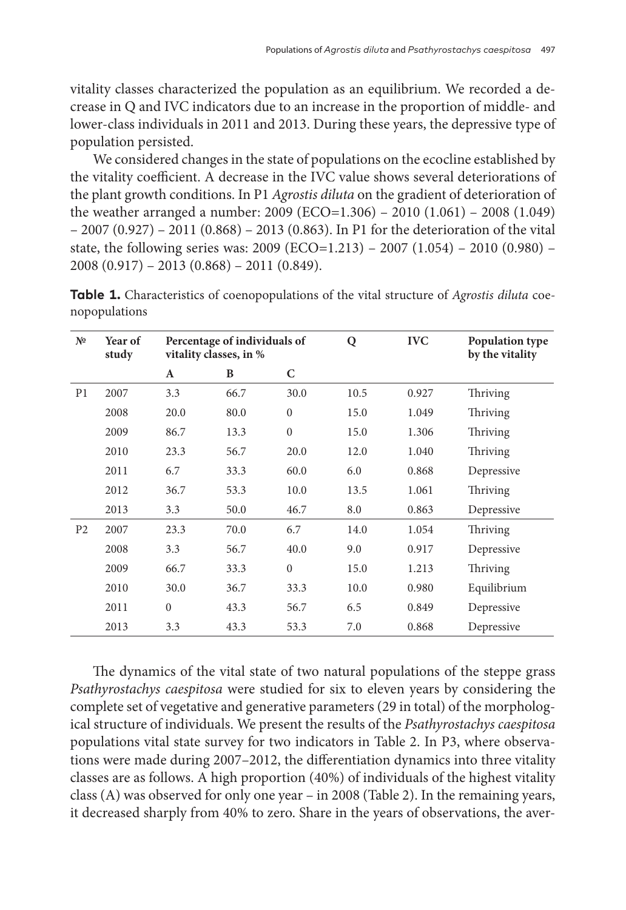vitality classes characterized the population as an equilibrium. We recorded a decrease in Q and IVC indicators due to an increase in the proportion of middle- and lower-class individuals in 2011 and 2013. During these years, the depressive type of population persisted.

We considered changes in the state of populations on the ecocline established by the vitality coefficient. A decrease in the IVC value shows several deteriorations of the plant growth conditions. In P1 *Agrostis diluta* on the gradient of deterioration of the weather arranged a number: 2009 (ECO=1.306) – 2010 (1.061) – 2008 (1.049) – 2007 (0.927) – 2011 (0.868) – 2013 (0.863). In P1 for the deterioration of the vital state, the following series was: 2009 (ECO=1.213) – 2007 (1.054) – 2010 (0.980) –  $2008(0.917) - 2013(0.868) - 2011(0.849).$ 

**Table 1.** Characteristics of coenopopulations of the vital structure of *Agrostis diluta* coenopopulations

| $N^{\Omega}$   | Year of<br>study | Percentage of individuals of<br>vitality classes, in % |      |              | Q    | <b>IVC</b> | <b>Population type</b><br>by the vitality |
|----------------|------------------|--------------------------------------------------------|------|--------------|------|------------|-------------------------------------------|
|                |                  | $\mathbf{A}$                                           | B    | C            |      |            |                                           |
| P <sub>1</sub> | 2007             | 3.3                                                    | 66.7 | 30.0         | 10.5 | 0.927      | <b>Thriving</b>                           |
|                | 2008             | 20.0                                                   | 80.0 | $\mathbf{0}$ | 15.0 | 1.049      | Thriving                                  |
|                | 2009             | 86.7                                                   | 13.3 | $\mathbf{0}$ | 15.0 | 1.306      | <b>Thriving</b>                           |
|                | 2010             | 23.3                                                   | 56.7 | 20.0         | 12.0 | 1.040      | <b>Thriving</b>                           |
|                | 2011             | 6.7                                                    | 33.3 | 60.0         | 6.0  | 0.868      | Depressive                                |
|                | 2012             | 36.7                                                   | 53.3 | 10.0         | 13.5 | 1.061      | <b>Thriving</b>                           |
|                | 2013             | 3.3                                                    | 50.0 | 46.7         | 8.0  | 0.863      | Depressive                                |
| P <sub>2</sub> | 2007             | 23.3                                                   | 70.0 | 6.7          | 14.0 | 1.054      | <b>Thriving</b>                           |
|                | 2008             | 3.3                                                    | 56.7 | 40.0         | 9.0  | 0.917      | Depressive                                |
|                | 2009             | 66.7                                                   | 33.3 | $\Omega$     | 15.0 | 1.213      | Thriving                                  |
|                | 2010             | 30.0                                                   | 36.7 | 33.3         | 10.0 | 0.980      | Equilibrium                               |
|                | 2011             | $\mathbf{0}$                                           | 43.3 | 56.7         | 6.5  | 0.849      | Depressive                                |
|                | 2013             | 3.3                                                    | 43.3 | 53.3         | 7.0  | 0.868      | Depressive                                |

The dynamics of the vital state of two natural populations of the steppe grass *Psathyrostachys caespitosa* were studied for six to eleven years by considering the complete set of vegetative and generative parameters (29 in total) of the morphological structure of individuals. We present the results of the *Psathyrostachys caespitosa* populations vital state survey for two indicators in Table 2. In P3, where observations were made during 2007–2012, the differentiation dynamics into three vitality classes are as follows. A high proportion (40%) of individuals of the highest vitality class (A) was observed for only one year – in 2008 (Table 2). In the remaining years, it decreased sharply from 40% to zero. Share in the years of observations, the aver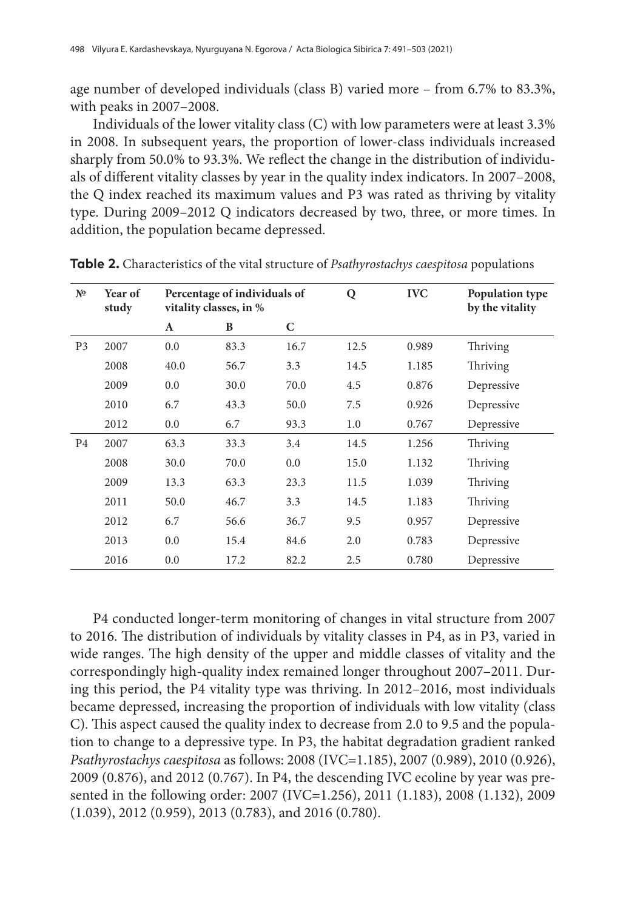age number of developed individuals (class B) varied more – from 6.7% to 83.3%, with peaks in 2007–2008.

Individuals of the lower vitality class (C) with low parameters were at least 3.3% in 2008. In subsequent years, the proportion of lower-class individuals increased sharply from 50.0% to 93.3%. We reflect the change in the distribution of individuals of different vitality classes by year in the quality index indicators. In 2007–2008, the Q index reached its maximum values and P3 was rated as thriving by vitality type. During 2009–2012 Q indicators decreased by two, three, or more times. In addition, the population became depressed.

| N <sup>0</sup> | <b>Year of</b><br>study | Percentage of individuals of<br>vitality classes, in % |      |      | Q    | <b>IVC</b> | Population type<br>by the vitality |
|----------------|-------------------------|--------------------------------------------------------|------|------|------|------------|------------------------------------|
|                |                         | $\mathbf{A}$                                           | B    | C    |      |            |                                    |
| P <sub>3</sub> | 2007                    | 0.0                                                    | 83.3 | 16.7 | 12.5 | 0.989      | <b>Thriving</b>                    |
|                | 2008                    | 40.0                                                   | 56.7 | 3.3  | 14.5 | 1.185      | Thriving                           |
|                | 2009                    | 0.0                                                    | 30.0 | 70.0 | 4.5  | 0.876      | Depressive                         |
|                | 2010                    | 6.7                                                    | 43.3 | 50.0 | 7.5  | 0.926      | Depressive                         |
|                | 2012                    | 0.0                                                    | 6.7  | 93.3 | 1.0  | 0.767      | Depressive                         |
| P <sub>4</sub> | 2007                    | 63.3                                                   | 33.3 | 3.4  | 14.5 | 1.256      | Thriving                           |
|                | 2008                    | 30.0                                                   | 70.0 | 0.0  | 15.0 | 1.132      | <b>Thriving</b>                    |
|                | 2009                    | 13.3                                                   | 63.3 | 23.3 | 11.5 | 1.039      | <b>Thriving</b>                    |
|                | 2011                    | 50.0                                                   | 46.7 | 3.3  | 14.5 | 1.183      | <b>Thriving</b>                    |
|                | 2012                    | 6.7                                                    | 56.6 | 36.7 | 9.5  | 0.957      | Depressive                         |
|                | 2013                    | 0.0                                                    | 15.4 | 84.6 | 2.0  | 0.783      | Depressive                         |
|                | 2016                    | 0.0                                                    | 17.2 | 82.2 | 2.5  | 0.780      | Depressive                         |

**Table 2.** Characteristics of the vital structure of *Psathyrostachys caespitosa* populations

P4 conducted longer-term monitoring of changes in vital structure from 2007 to 2016. The distribution of individuals by vitality classes in P4, as in P3, varied in wide ranges. The high density of the upper and middle classes of vitality and the correspondingly high-quality index remained longer throughout 2007–2011. During this period, the P4 vitality type was thriving. In 2012–2016, most individuals became depressed, increasing the proportion of individuals with low vitality (class C). This aspect caused the quality index to decrease from 2.0 to 9.5 and the population to change to a depressive type. In P3, the habitat degradation gradient ranked *Psathyrostachys caespitosa* as follows: 2008 (IVC=1.185), 2007 (0.989), 2010 (0.926), 2009 (0.876), and 2012 (0.767). In P4, the descending IVC ecoline by year was presented in the following order: 2007 (IVC=1.256), 2011 (1.183), 2008 (1.132), 2009 (1.039), 2012 (0.959), 2013 (0.783), and 2016 (0.780).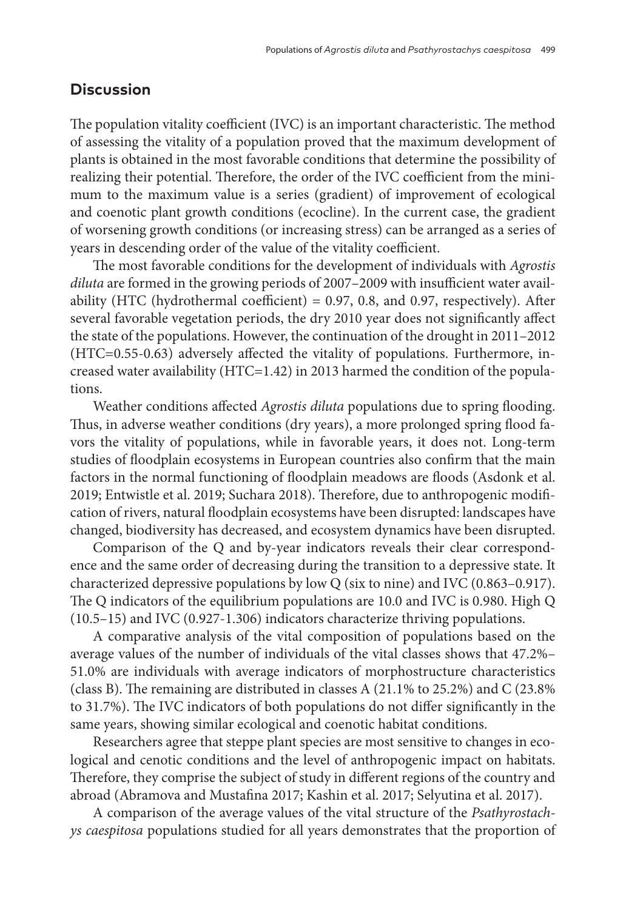## **Discussion**

The population vitality coefficient (IVC) is an important characteristic. The method of assessing the vitality of a population proved that the maximum development of plants is obtained in the most favorable conditions that determine the possibility of realizing their potential. Therefore, the order of the IVC coefficient from the minimum to the maximum value is a series (gradient) of improvement of ecological and coenotic plant growth conditions (ecocline). In the current case, the gradient of worsening growth conditions (or increasing stress) can be arranged as a series of years in descending order of the value of the vitality coefficient.

The most favorable conditions for the development of individuals with *Agrostis diluta* are formed in the growing periods of 2007–2009 with insufficient water availability (HTC (hydrothermal coefficient) =  $0.97$ ,  $0.8$ , and  $0.97$ , respectively). After several favorable vegetation periods, the dry 2010 year does not significantly affect the state of the populations. However, the continuation of the drought in 2011–2012 (HTC=0.55-0.63) adversely affected the vitality of populations. Furthermore, increased water availability (HTC=1.42) in 2013 harmed the condition of the populations.

Weather conditions affected *Agrostis diluta* populations due to spring flooding. Thus, in adverse weather conditions (dry years), a more prolonged spring flood favors the vitality of populations, while in favorable years, it does not. Long-term studies of floodplain ecosystems in European countries also confirm that the main factors in the normal functioning of floodplain meadows are floods (Asdonk et al. 2019; Entwistle et al. 2019; Suchara 2018). Therefore, due to anthropogenic modification of rivers, natural floodplain ecosystems have been disrupted: landscapes have changed, biodiversity has decreased, and ecosystem dynamics have been disrupted.

Comparison of the Q and by-year indicators reveals their clear correspondence and the same order of decreasing during the transition to a depressive state. It characterized depressive populations by low Q (six to nine) and IVC (0.863–0.917). The Q indicators of the equilibrium populations are 10.0 and IVC is 0.980. High Q (10.5–15) and IVC (0.927-1.306) indicators characterize thriving populations.

A comparative analysis of the vital composition of populations based on the average values of the number of individuals of the vital classes shows that 47.2%– 51.0% are individuals with average indicators of morphostructure characteristics (class B). The remaining are distributed in classes A (21.1% to 25.2%) and C (23.8% to 31.7%). The IVC indicators of both populations do not differ significantly in the same years, showing similar ecological and coenotic habitat conditions.

Researchers agree that steppe plant species are most sensitive to changes in ecological and cenotic conditions and the level of anthropogenic impact on habitats. Therefore, they comprise the subject of study in different regions of the country and abroad (Abramova and Mustafina 2017; Kashin et al. 2017; Selyutina et al. 2017).

A comparison of the average values of the vital structure of the *Psathyrostachys caespitosa* populations studied for all years demonstrates that the proportion of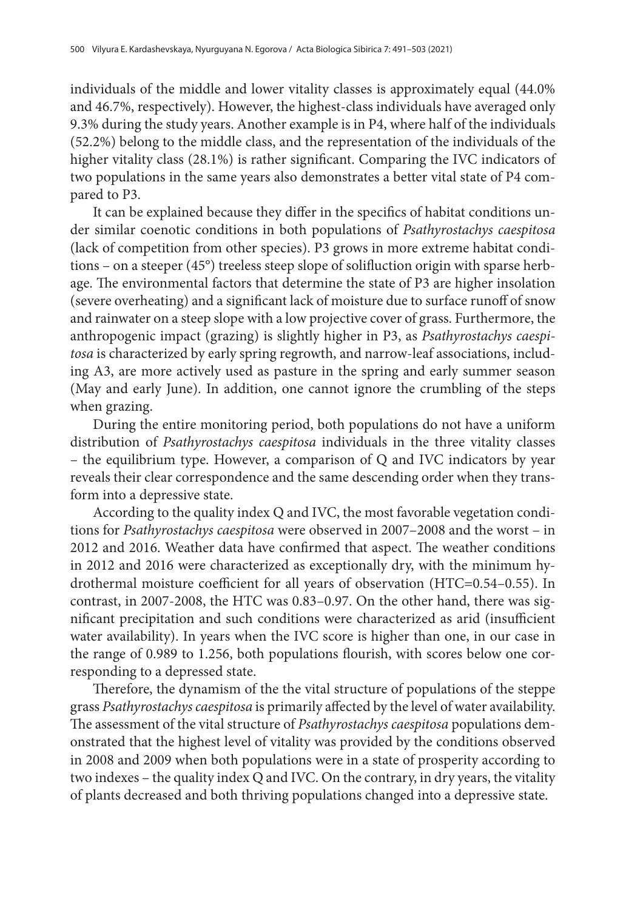individuals of the middle and lower vitality classes is approximately equal (44.0% and 46.7%, respectively). However, the highest-class individuals have averaged only 9.3% during the study years. Another example is in P4, where half of the individuals (52.2%) belong to the middle class, and the representation of the individuals of the higher vitality class (28.1%) is rather significant. Comparing the IVC indicators of two populations in the same years also demonstrates a better vital state of P4 compared to P3.

It can be explained because they differ in the specifics of habitat conditions under similar coenotic conditions in both populations of *Psathyrostachys caespitosa* (lack of competition from other species). P3 grows in more extreme habitat conditions – on a steeper (45°) treeless steep slope of solifluction origin with sparse herbage. The environmental factors that determine the state of P3 are higher insolation (severe overheating) and a significant lack of moisture due to surface runoff of snow and rainwater on a steep slope with a low projective cover of grass. Furthermore, the anthropogenic impact (grazing) is slightly higher in P3, as *Psathyrostachys caespitosa* is characterized by early spring regrowth, and narrow-leaf associations, including A3, are more actively used as pasture in the spring and early summer season (May and early June). In addition, one cannot ignore the crumbling of the steps when grazing.

During the entire monitoring period, both populations do not have a uniform distribution of *Psathyrostachys caespitosa* individuals in the three vitality classes – the equilibrium type. However, a comparison of Q and IVC indicators by year reveals their clear correspondence and the same descending order when they transform into a depressive state.

According to the quality index Q and IVC, the most favorable vegetation conditions for *Psathyrostachys caespitosa* were observed in 2007–2008 and the worst – in 2012 and 2016. Weather data have confirmed that aspect. The weather conditions in 2012 and 2016 were characterized as exceptionally dry, with the minimum hydrothermal moisture coefficient for all years of observation (HTC=0.54–0.55). In contrast, in 2007-2008, the HTC was 0.83–0.97. On the other hand, there was significant precipitation and such conditions were characterized as arid (insufficient water availability). In years when the IVC score is higher than one, in our case in the range of 0.989 to 1.256, both populations flourish, with scores below one corresponding to a depressed state.

Therefore, the dynamism of the the vital structure of populations of the steppe grass *Psathyrostachys caespitosa* is primarily affected by the level of water availability. The assessment of the vital structure of *Psathyrostachys caespitosa* populations demonstrated that the highest level of vitality was provided by the conditions observed in 2008 and 2009 when both populations were in a state of prosperity according to two indexes – the quality index Q and IVC. On the contrary, in dry years, the vitality of plants decreased and both thriving populations changed into a depressive state.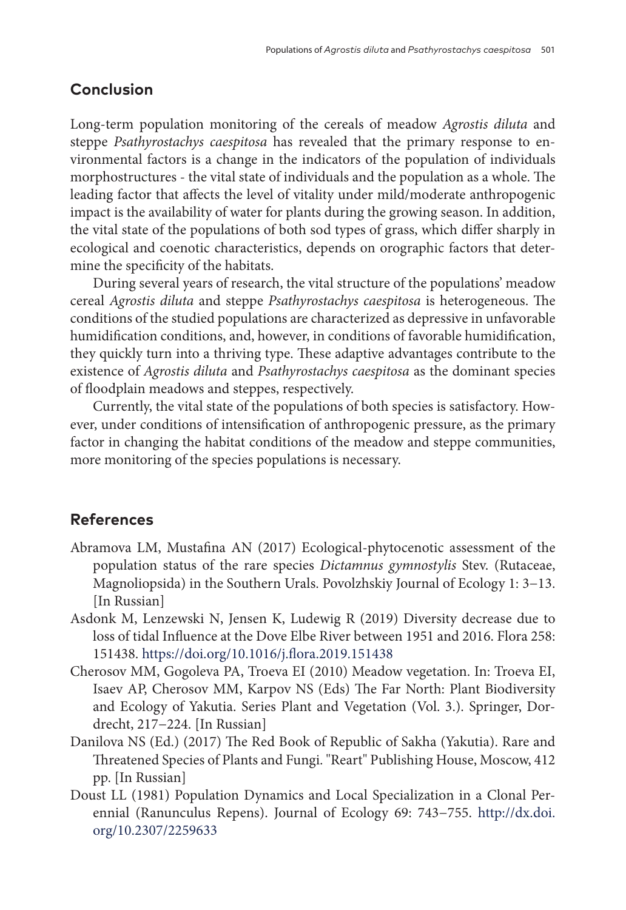# **Conclusion**

Long-term population monitoring of the cereals of meadow *Agrostis diluta* and steppe *Psathyrostachys caespitosa* has revealed that the primary response to environmental factors is a change in the indicators of the population of individuals morphostructures - the vital state of individuals and the population as a whole. The leading factor that affects the level of vitality under mild/moderate anthropogenic impact is the availability of water for plants during the growing season. In addition, the vital state of the populations of both sod types of grass, which differ sharply in ecological and coenotic characteristics, depends on orographic factors that determine the specificity of the habitats.

During several years of research, the vital structure of the populations' meadow cereal *Agrostis diluta* and steppe *Psathyrostachys caespitosa* is heterogeneous. The conditions of the studied populations are characterized as depressive in unfavorable humidification conditions, and, however, in conditions of favorable humidification, they quickly turn into a thriving type. These adaptive advantages contribute to the existence of *Agrostis diluta* and *Psathyrostachys caespitosa* as the dominant species of floodplain meadows and steppes, respectively.

Currently, the vital state of the populations of both species is satisfactory. However, under conditions of intensification of anthropogenic pressure, as the primary factor in changing the habitat conditions of the meadow and steppe communities, more monitoring of the species populations is necessary.

# **References**

- Abramova LM, Mustafina AN (2017) Ecological-phytocenotic assessment of the population status of the rare species *Dictamnus gymnostylis* Stev. (Rutaceae, Magnoliopsida) in the Southern Urals. Povolzhskiy Journal of Ecology 1: 3−13. [In Russian]
- Asdonk M, Lenzewski N, Jensen K, Ludewig R (2019) Diversity decrease due to loss of tidal Influence at the Dove Elbe River between 1951 and 2016. Flora 258: 151438.<https://doi.org/10.1016/j.flora.2019.151438>
- Cherosov MM, Gogoleva PA, Troeva EI (2010) Meadow vegetation. In: Troeva EI, Isaev AP, Cherosov MM, Karpov NS (Eds) The Far North: Plant Biodiversity and Ecology of Yakutia. Series Plant and Vegetation (Vol. 3.). Springer, Dordrecht, 217−224. [In Russian]
- Danilova NS (Ed.) (2017) The Red Book of Republic of Sakha (Yakutia). Rare and Threatened Species of Plants and Fungi. "Reart" Publishing House, Moscow, 412 pp. [In Russian]
- Doust LL (1981) Population Dynamics and Local Specialization in a Clonal Perennial (Ranunculus Repens). Journal of Ecology 69: 743−755. [http://dx.doi.](http://dx.doi.org/10.2307/2259633) [org/10.2307/2259633](http://dx.doi.org/10.2307/2259633)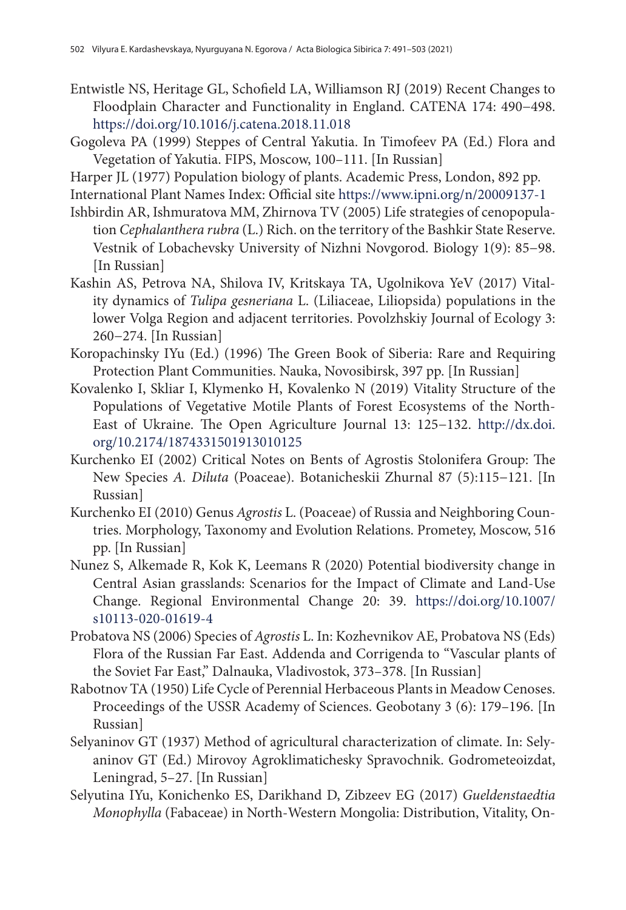- Entwistle NS, Heritage GL, Schofield LA, Williamson RJ (2019) Recent Changes to Floodplain Character and Functionality in England. CATENA 174: 490−498. <https://doi.org/10.1016/j.catena.2018.11.018>
- Gogoleva PA (1999) Steppes of Central Yakutia. In Timofeev PA (Ed.) Flora and Vegetation of Yakutia. FIPS, Moscow, 100–111. [In Russian]
- Harper JL (1977) Population biology of plants. Academic Press, London, 892 pp.
- International Plant Names Index: Official site <https://www.ipni.org/n/20009137-1>
- Ishbirdin AR, Ishmuratova MM, Zhirnova TV (2005) Life strategies of cenopopulation *Cephalanthera rubra* (L.) Rich. on the territory of the Bashkir State Reserve. Vestnik of Lobachevsky University of Nizhni Novgorod. Biology 1(9): 85−98. [In Russian]
- Kashin AS, Petrova NA, Shilova IV, Kritskaya TA, Ugolnikova YeV (2017) Vitality dynamics of *Tulipa gesneriana* L. (Liliaceae, Liliopsida) populations in the lower Volga Region and adjacent territories. Povolzhskiy Journal of Ecology 3: 260−274. [In Russian]
- Koropachinsky IYu (Ed.) (1996) The Green Book of Siberia: Rare and Requiring Protection Plant Communities. Nauka, Novosibirsk, 397 pp. [In Russian]
- Kovalenko I, Skliar I, Klymenko H, Kovalenko N (2019) Vitality Structure of the Populations of Vegetative Motile Plants of Forest Ecosystems of the North-East of Ukraine. The Open Agriculture Journal 13: 125−132. [http://dx.doi.](http://dx.doi.org/10.2174/1874331501913010125) [org/10.2174/1874331501913010125](http://dx.doi.org/10.2174/1874331501913010125)
- Kurchenko EI (2002) Critical Notes on Bents of Agrostis Stolonifera Group: The New Species *A. Diluta* (Poaceae). Botanicheskii Zhurnal 87 (5):115−121. [In Russian]
- Kurchenko EI (2010) Genus *Agrostis* L. (Poaceae) of Russia and Neighboring Countries. Morphology, Taxonomy and Evolution Relations. Prometey, Moscow, 516 pp. [In Russian]
- Nunez S, Alkemade R, Kok K, Leemans R (2020) Potential biodiversity change in Central Asian grasslands: Scenarios for the Impact of Climate and Land-Use Change. Regional Environmental Change 20: 39. [https://doi.org/10.1007/](https://doi.org/10.1007/s10113-020-01619-4) [s10113-020-01619-4](https://doi.org/10.1007/s10113-020-01619-4)
- Probatova NS (2006) Species of *Agrostis* L. In: Kozhevnikov AE, Probatova NS (Eds) Flora of the Russian Far East. Addenda and Corrigenda to "Vascular plants of the Soviet Far East," Dalnauka, Vladivostok, 373–378. [In Russian]
- Rabotnov TA (1950) Life Cycle of Perennial Herbaceous Plants in Meadow Cenoses. Proceedings of the USSR Academy of Sciences. Geobotany 3 (6): 179–196. [In Russian]
- Selyaninov GT (1937) Method of agricultural characterization of climate. In: Selyaninov GT (Ed.) Mirovoy Agroklimatichesky Spravochnik. Godrometeoizdat, Leningrad, 5–27. [In Russian]
- Selyutina IYu, Konichenko ES, Darikhand D, Zibzeev EG (2017) *Gueldenstaedtia Monophylla* (Fabaceae) in North-Western Mongolia: Distribution, Vitality, On-